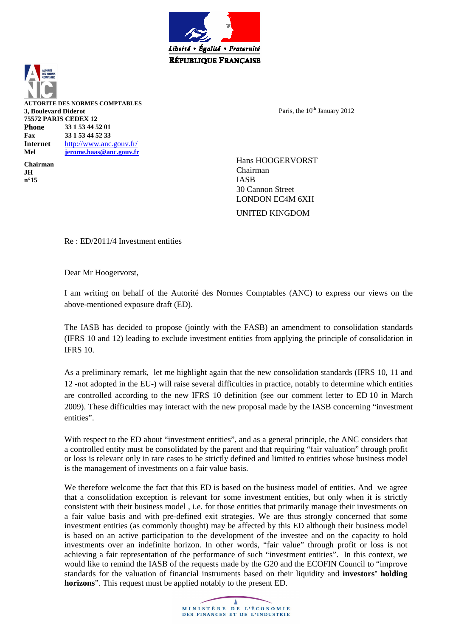

**AUTORITE DES NORMES COMPTABLES 3, Boulevard Diderot 75572 PARIS CEDEX 12 Phone 33 1 53 44 52 01 Fax 33 1 53 44 52 33 Internet** http://www.anc.gouv.fr/ **Mel jerome.haas@anc.gouv.fr**

**Chairman JH n°15** 

Paris, the 10<sup>th</sup> January 2012

Hans HOOGERVORST Chairman IASB 30 Cannon Street LONDON EC4M 6XH UNITED KINGDOM

Re : ED/2011/4 Investment entities

Dear Mr Hoogervorst,

I am writing on behalf of the Autorité des Normes Comptables (ANC) to express our views on the above-mentioned exposure draft (ED).

The IASB has decided to propose (jointly with the FASB) an amendment to consolidation standards (IFRS 10 and 12) leading to exclude investment entities from applying the principle of consolidation in IFRS 10.

As a preliminary remark, let me highlight again that the new consolidation standards (IFRS 10, 11 and 12 -not adopted in the EU-) will raise several difficulties in practice, notably to determine which entities are controlled according to the new IFRS 10 definition (see our comment letter to ED 10 in March 2009). These difficulties may interact with the new proposal made by the IASB concerning "investment entities".

With respect to the ED about "investment entities", and as a general principle, the ANC considers that a controlled entity must be consolidated by the parent and that requiring "fair valuation" through profit or loss is relevant only in rare cases to be strictly defined and limited to entities whose business model is the management of investments on a fair value basis.

We therefore welcome the fact that this ED is based on the business model of entities. And we agree that a consolidation exception is relevant for some investment entities, but only when it is strictly consistent with their business model , i.e. for those entities that primarily manage their investments on a fair value basis and with pre-defined exit strategies. We are thus strongly concerned that some investment entities (as commonly thought) may be affected by this ED although their business model is based on an active participation to the development of the investee and on the capacity to hold investments over an indefinite horizon. In other words, "fair value" through profit or loss is not achieving a fair representation of the performance of such "investment entities". In this context, we would like to remind the IASB of the requests made by the G20 and the ECOFIN Council to "improve standards for the valuation of financial instruments based on their liquidity and **investors' holding horizons**". This request must be applied notably to the present ED.

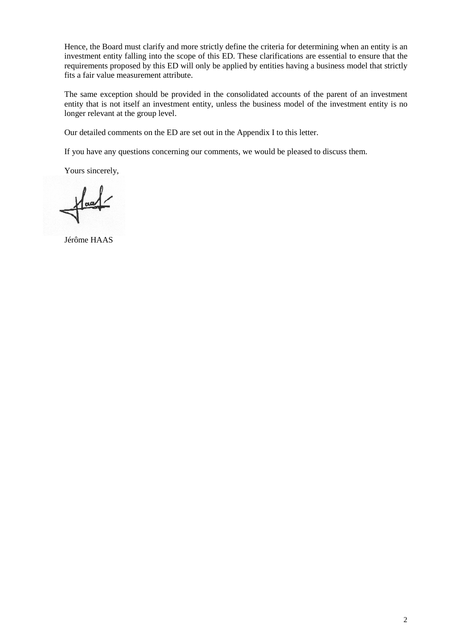Hence, the Board must clarify and more strictly define the criteria for determining when an entity is an investment entity falling into the scope of this ED. These clarifications are essential to ensure that the requirements proposed by this ED will only be applied by entities having a business model that strictly fits a fair value measurement attribute.

The same exception should be provided in the consolidated accounts of the parent of an investment entity that is not itself an investment entity, unless the business model of the investment entity is no longer relevant at the group level.

Our detailed comments on the ED are set out in the Appendix I to this letter.

If you have any questions concerning our comments, we would be pleased to discuss them.

Yours sincerely,

 $\sqrt{d}$ 

Jérôme HAAS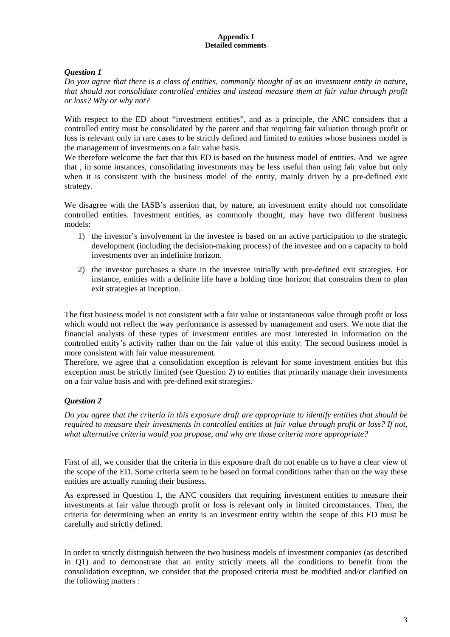#### **Appendix I Detailed comments**

# *Question 1*

*Do you agree that there is a class of entities, commonly thought of as an investment entity in nature, that should not consolidate controlled entities and instead measure them at fair value through profit or loss? Why or why not?* 

With respect to the ED about "investment entities", and as a principle, the ANC considers that a controlled entity must be consolidated by the parent and that requiring fair valuation through profit or loss is relevant only in rare cases to be strictly defined and limited to entities whose business model is the management of investments on a fair value basis.

We therefore welcome the fact that this ED is based on the business model of entities. And we agree that , in some instances, consolidating investments may be less useful than using fair value but only when it is consistent with the business model of the entity, mainly driven by a pre-defined exit strategy.

We disagree with the IASB's assertion that, by nature, an investment entity should not consolidate controlled entities. Investment entities, as commonly thought, may have two different business models:

- 1) the investor's involvement in the investee is based on an active participation to the strategic development (including the decision-making process) of the investee and on a capacity to hold investments over an indefinite horizon.
- 2) the investor purchases a share in the investee initially with pre-defined exit strategies. For instance, entities with a definite life have a holding time horizon that constrains them to plan exit strategies at inception.

The first business model is not consistent with a fair value or instantaneous value through profit or loss which would not reflect the way performance is assessed by management and users. We note that the financial analysts of these types of investment entities are most interested in information on the controlled entity's activity rather than on the fair value of this entity. The second business model is more consistent with fair value measurement.

Therefore, we agree that a consolidation exception is relevant for some investment entities but this exception must be strictly limited (see Question 2) to entities that primarily manage their investments on a fair value basis and with pre-defined exit strategies.

# *Question 2*

*Do you agree that the criteria in this exposure draft are appropriate to identify entities that should be required to measure their investments in controlled entities at fair value through profit or loss? If not, what alternative criteria would you propose, and why are those criteria more appropriate?* 

First of all, we consider that the criteria in this exposure draft do not enable us to have a clear view of the scope of the ED. Some criteria seem to be based on formal conditions rather than on the way these entities are actually running their business.

As expressed in Question 1, the ANC considers that requiring investment entities to measure their investments at fair value through profit or loss is relevant only in limited circomstances. Then, the criteria for determining when an entity is an investment entity within the scope of this ED must be carefully and strictly defined.

In order to strictly distinguish between the two business models of investment companies (as described in Q1) and to demonstrate that an entity strictly meets all the conditions to benefit from the consolidation exception, we consider that the proposed criteria must be modified and/or clarified on the following matters :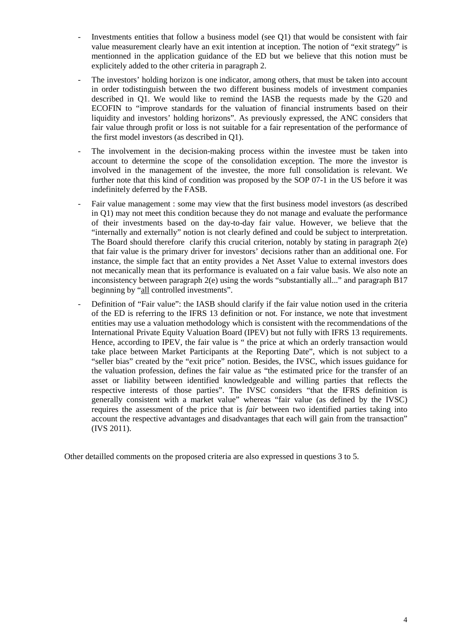- Investments entities that follow a business model (see Q1) that would be consistent with fair value measurement clearly have an exit intention at inception. The notion of "exit strategy" is mentionned in the application guidance of the ED but we believe that this notion must be explicitely added to the other criteria in paragraph 2.
- The investors' holding horizon is one indicator, among others, that must be taken into account in order todistinguish between the two different business models of investment companies described in Q1. We would like to remind the IASB the requests made by the G20 and ECOFIN to "improve standards for the valuation of financial instruments based on their liquidity and investors' holding horizons". As previously expressed, the ANC considers that fair value through profit or loss is not suitable for a fair representation of the performance of the first model investors (as described in Q1).
- The involvement in the decision-making process within the investee must be taken into account to determine the scope of the consolidation exception. The more the investor is involved in the management of the investee, the more full consolidation is relevant. We further note that this kind of condition was proposed by the SOP 07-1 in the US before it was indefinitely deferred by the FASB.
- Fair value management : some may view that the first business model investors (as described in Q1) may not meet this condition because they do not manage and evaluate the performance of their investments based on the day-to-day fair value. However, we believe that the "internally and externally" notion is not clearly defined and could be subject to interpretation. The Board should therefore clarify this crucial criterion, notably by stating in paragraph  $2(e)$ that fair value is the primary driver for investors' decisions rather than an additional one. For instance, the simple fact that an entity provides a Net Asset Value to external investors does not mecanically mean that its performance is evaluated on a fair value basis. We also note an inconsistency between paragraph  $2(e)$  using the words "substantially all..." and paragraph B17 beginning by "all controlled investments".
- Definition of "Fair value": the IASB should clarify if the fair value notion used in the criteria of the ED is referring to the IFRS 13 definition or not. For instance, we note that investment entities may use a valuation methodology which is consistent with the recommendations of the International Private Equity Valuation Board (IPEV) but not fully with IFRS 13 requirements. Hence, according to IPEV, the fair value is " the price at which an orderly transaction would take place between Market Participants at the Reporting Date", which is not subject to a "seller bias" created by the "exit price" notion. Besides, the IVSC, which issues guidance for the valuation profession, defines the fair value as "the estimated price for the transfer of an asset or liability between identified knowledgeable and willing parties that reflects the respective interests of those parties". The IVSC considers "that the IFRS definition is generally consistent with a market value" whereas "fair value (as defined by the IVSC) requires the assessment of the price that is *fair* between two identified parties taking into account the respective advantages and disadvantages that each will gain from the transaction" (IVS 2011).

Other detailled comments on the proposed criteria are also expressed in questions 3 to 5.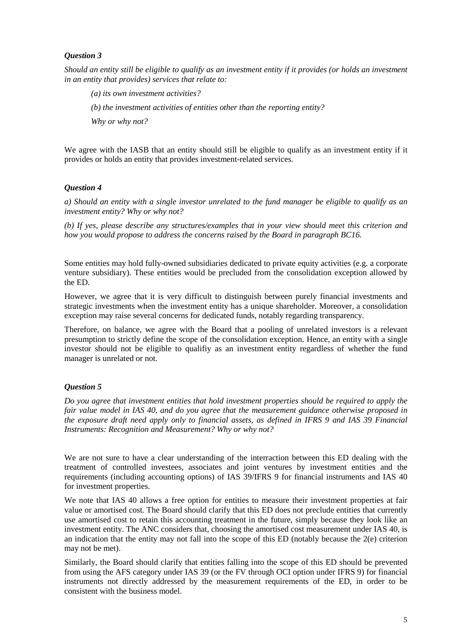### *Question 3*

*Should an entity still be eligible to qualify as an investment entity if it provides (or holds an investment in an entity that provides) services that relate to:* 

 *(a) its own investment activities? (b) the investment activities of entities other than the reporting entity? Why or why not?* 

We agree with the IASB that an entity should still be eligible to qualify as an investment entity if it provides or holds an entity that provides investment-related services.

#### *Question 4*

*a) Should an entity with a single investor unrelated to the fund manager be eligible to qualify as an investment entity? Why or why not?* 

*(b) If yes, please describe any structures/examples that in your view should meet this criterion and how you would propose to address the concerns raised by the Board in paragraph BC16.* 

Some entities may hold fully-owned subsidiaries dedicated to private equity activities (e.g. a corporate venture subsidiary). These entities would be precluded from the consolidation exception allowed by the ED.

However, we agree that it is very difficult to distinguish between purely financial investments and strategic investments when the investment entity has a unique shareholder. Moreover, a consolidation exception may raise several concerns for dedicated funds, notably regarding transparency.

Therefore, on balance, we agree with the Board that a pooling of unrelated investors is a relevant presumption to strictly define the scope of the consolidation exception. Hence, an entity with a single investor should not be eligible to qualifiy as an investment entity regardless of whether the fund manager is unrelated or not.

# *Question 5*

*Do you agree that investment entities that hold investment properties should be required to apply the fair value model in IAS 40, and do you agree that the measurement guidance otherwise proposed in the exposure draft need apply only to financial assets, as defined in IFRS 9 and IAS 39 Financial Instruments: Recognition and Measurement? Why or why not?* 

We are not sure to have a clear understanding of the interraction between this ED dealing with the treatment of controlled investees, associates and joint ventures by investment entities and the requirements (including accounting options) of IAS 39/IFRS 9 for financial instruments and IAS 40 for investment properties.

We note that IAS 40 allows a free option for entities to measure their investment properties at fair value or amortised cost. The Board should clarify that this ED does not preclude entities that currently use amortised cost to retain this accounting treatment in the future, simply because they look like an investment entity. The ANC considers that, choosing the amortised cost measurement under IAS 40, is an indication that the entity may not fall into the scope of this ED (notably because the 2(e) criterion may not be met).

Similarly, the Board should clarify that entities falling into the scope of this ED should be prevented from using the AFS category under IAS 39 (or the FV through OCI option under IFRS 9) for financial instruments not directly addressed by the measurement requirements of the ED, in order to be consistent with the business model.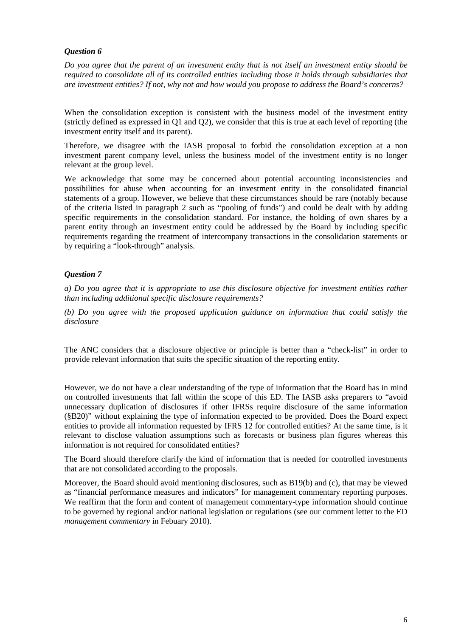### *Question 6*

*Do you agree that the parent of an investment entity that is not itself an investment entity should be required to consolidate all of its controlled entities including those it holds through subsidiaries that are investment entities? If not, why not and how would you propose to address the Board's concerns?* 

When the consolidation exception is consistent with the business model of the investment entity (strictly defined as expressed in Q1 and Q2), we consider that this is true at each level of reporting (the investment entity itself and its parent).

Therefore, we disagree with the IASB proposal to forbid the consolidation exception at a non investment parent company level, unless the business model of the investment entity is no longer relevant at the group level.

We acknowledge that some may be concerned about potential accounting inconsistencies and possibilities for abuse when accounting for an investment entity in the consolidated financial statements of a group. However, we believe that these circumstances should be rare (notably because of the criteria listed in paragraph 2 such as "pooling of funds") and could be dealt with by adding specific requirements in the consolidation standard. For instance, the holding of own shares by a parent entity through an investment entity could be addressed by the Board by including specific requirements regarding the treatment of intercompany transactions in the consolidation statements or by requiring a "look-through" analysis.

#### *Question 7*

*a) Do you agree that it is appropriate to use this disclosure objective for investment entities rather than including additional specific disclosure requirements?* 

*(b) Do you agree with the proposed application guidance on information that could satisfy the disclosure* 

The ANC considers that a disclosure objective or principle is better than a "check-list" in order to provide relevant information that suits the specific situation of the reporting entity.

However, we do not have a clear understanding of the type of information that the Board has in mind on controlled investments that fall within the scope of this ED. The IASB asks preparers to "avoid unnecessary duplication of disclosures if other IFRSs require disclosure of the same information (§B20)" without explaining the type of information expected to be provided. Does the Board expect entities to provide all information requested by IFRS 12 for controlled entities? At the same time, is it relevant to disclose valuation assumptions such as forecasts or business plan figures whereas this information is not required for consolidated entities?

The Board should therefore clarify the kind of information that is needed for controlled investments that are not consolidated according to the proposals.

Moreover, the Board should avoid mentioning disclosures, such as B19(b) and (c), that may be viewed as "financial performance measures and indicators" for management commentary reporting purposes. We reaffirm that the form and content of management commentary-type information should continue to be governed by regional and/or national legislation or regulations (see our comment letter to the ED *management commentary* in Febuary 2010).